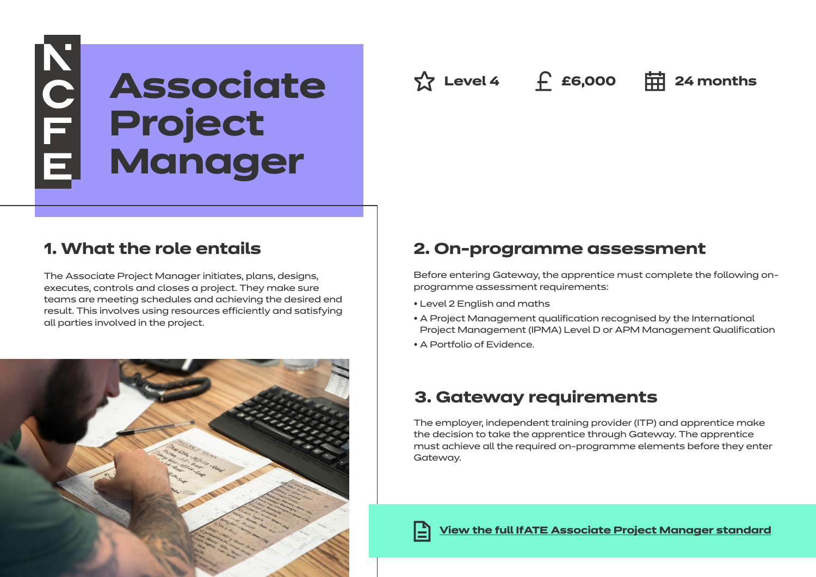# NOTE **Associate Project Manager**

# **1. What the role entails**

The Associate Project Manager initiates, plans, designs, executes, controls and closes a project. They make sure teams are meeting schedules and achieving the desired end result. This involves using resources efficiently and satisfying all parties involved in the project.



## **2. On-programme assessment**

Before entering Gateway, the apprentice must complete the following onprogramme assessment requirements:

 $\frac{1}{2}$  Level 4 **f** £6,000 **= = 24 months** 

- Level 2 English and maths
- A Project Management qualification recognised by the International Project Management (IPMA) Level D or APM Management Qualification
- A Portfolio of Evidence.

# **3. Gateway requirements**

The employer, independent training provider (ITP) and apprentice make the decision to take the apprentice through Gateway. The apprentice must achieve all the required on-programme elements before they enter Gateway.